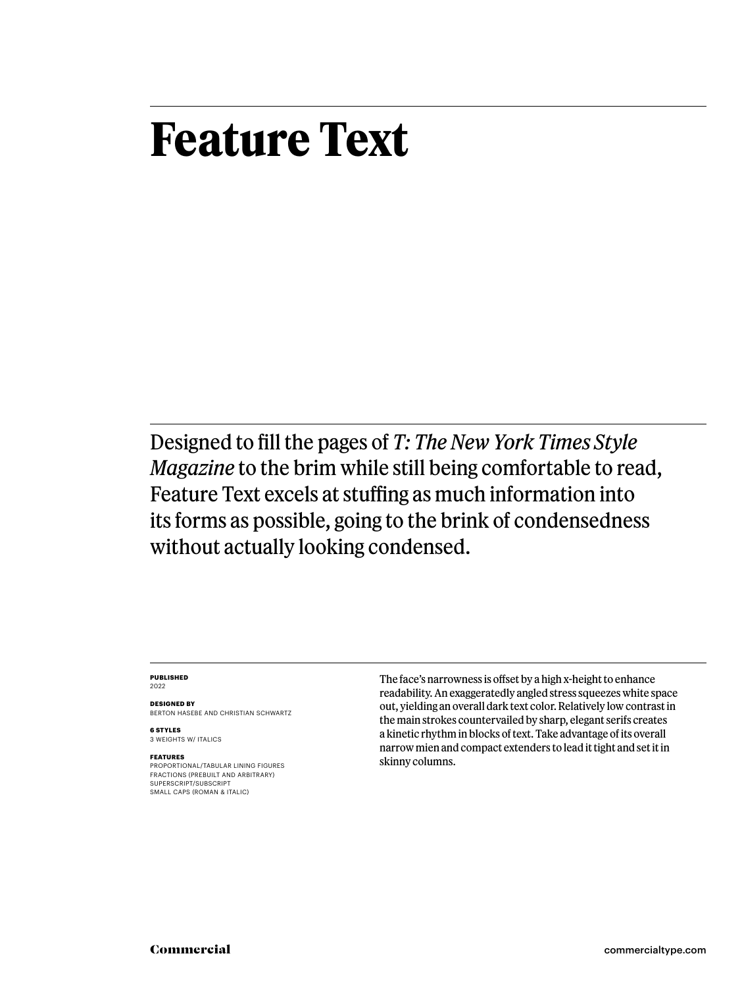# **Feature Text**

Designed to fill the pages of *T: The New York Times Style Magazine* to the brim while still being comfortable to read, Feature Text excels at stuffing as much information into its forms as possible, going to the brink of condensedness without actually looking condensed.

#### **PUBLISHED** 2022

**DESIGNED BY** BERTON HASEBE AND CHRISTIAN SCHWARTZ

**6 STYLES** 3 WEIGHTS W/ ITALICS

#### **FEATURES**

PROPORTIONAL/TABULAR LINING FIGURES FRACTIONS (PREBUILT AND ARBITRARY) SUPERSCRIPT/SUBSCRIPT SMALL CAPS (ROMAN & ITALIC)

The face's narrowness is offset by a high x-height to enhance readability. An exaggeratedly angled stress squeezes white space out, yielding an overall dark text color. Relatively low contrast in the main strokes countervailed by sharp, elegant serifs creates a kinetic rhythm in blocks of text. Take advantage of its overall narrow mien and compact extenders to lead it tight and set it in skinny columns.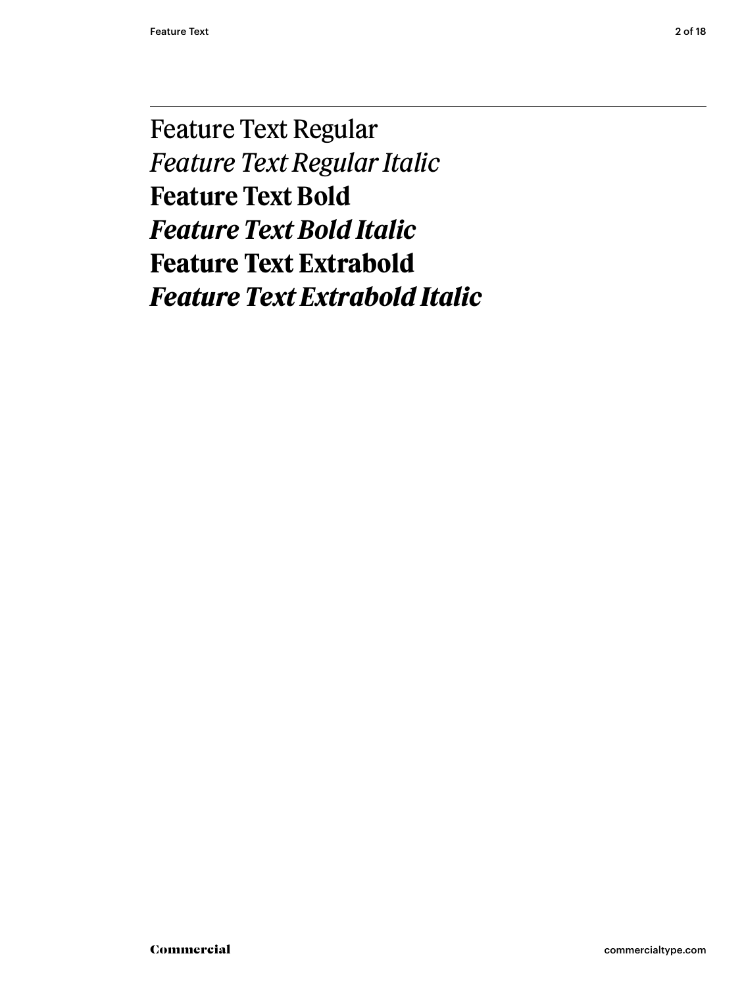Feature Text Regular *Feature Text Regular Italic* **Feature Text Bold** *Feature Text Bold Italic* **Feature Text Extrabold** *Feature Text Extrabold Italic*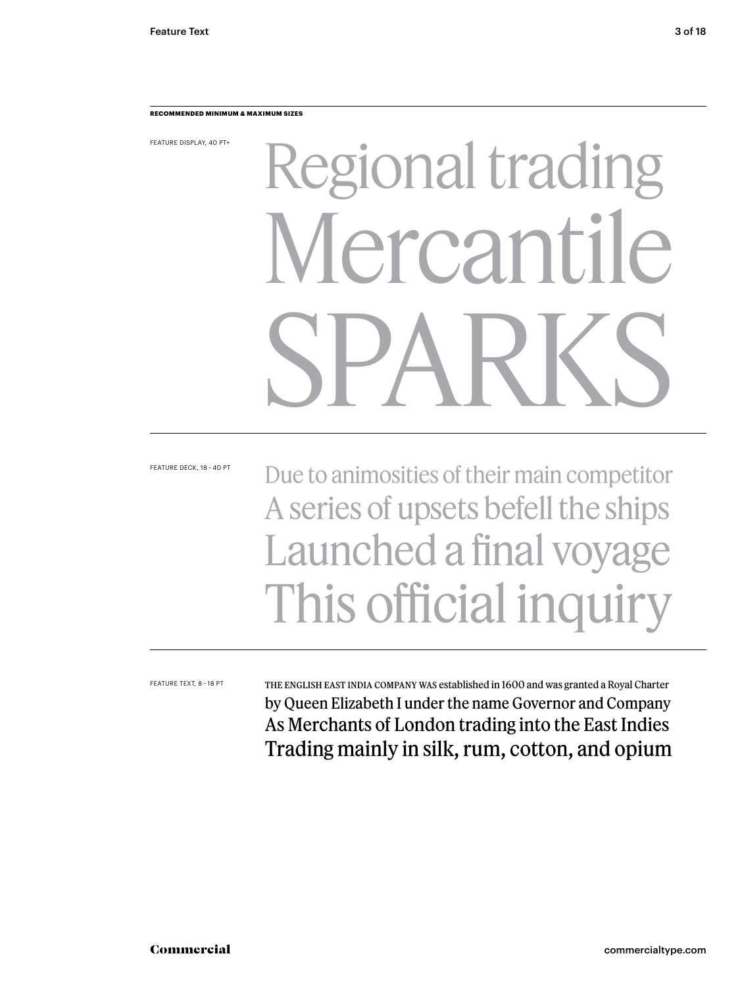#### **RECOMMENDED MINIMUM & MAXIMUM SIZES**

FEATURE DISPLAY, 40 PT+

# Regional trading Mercantile SPARKS

FEATURE DECK, 18 – 40 PT

# Due to animosities of their main competitor A series of upsets befell the ships Launched a final voyage This official inquiry

FEATURE TEXT, 8 – 18 PT

The English East India Company was established in 1600 and was granted a Royal Charter by Queen Elizabeth I under the name Governor and Company As Merchants of London trading into the East Indies Trading mainly in silk, rum, cotton, and opium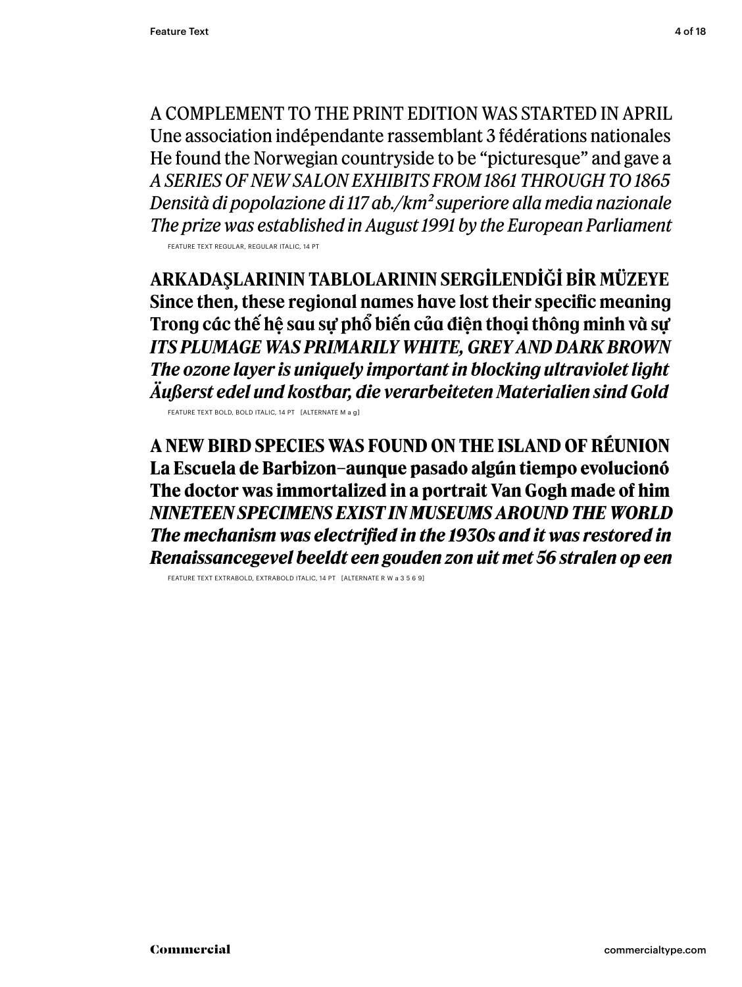A COMPLEMENT TO THE PRINT EDITION WAS STARTED IN APRIL Une association indépendante rassemblant 3 fédérations nationales He found the Norwegian countryside to be "picturesque" and gave a *A SERIES OF NEW SALON EXHIBITS FROM 1861 THROUGH TO 1865 Densità di popolazione di 117 ab./km2 superiore alla media nazionale The prize was established in August 1991 by the European Parliament* FEATURE TEXT REGULAR, REGULAR ITALIC, 14 PT

**ARKADAŞLARININ TABLOLARININ SERGILENDIĞI BIR MÜZEYE Since then, these regional names have lost their specific meaning Trong các thế hệ sau sự phổ biến của điện thoại thông minh và sự** *ITS PLUMAGE WAS PRIMARILY WHITE, GREY AND DARK BROWN The ozone layer is uniquely important in blocking ultraviolet light Äußerst edel und kostbar, die verarbeiteten Materialien sind Gold*

FEATURE TEXT BOLD, BOLD ITALIC, 14 PT [ALTERNATE M a g]

**A NEW BIRD SPECIES WAS FOUND ON THE ISLAND OF RÉUNION La Escuela de Barbizon–aunque pasado algún tiempo evolucionó The doctor was immortalized in a portrait Van Gogh made of him** *NINETEEN SPECIMENS EXIST IN MUSEUMS AROUND THE WORLD The mechanism was electrified in the 1930s and it was restored in Renaissancegevel beeldt een gouden zon uit met 56 stralen op een* 

FEATURE TEXT EXTRABOLD, EXTRABOLD ITALIC, 14 PT [ALTERNATE R W a 3 5 6 9]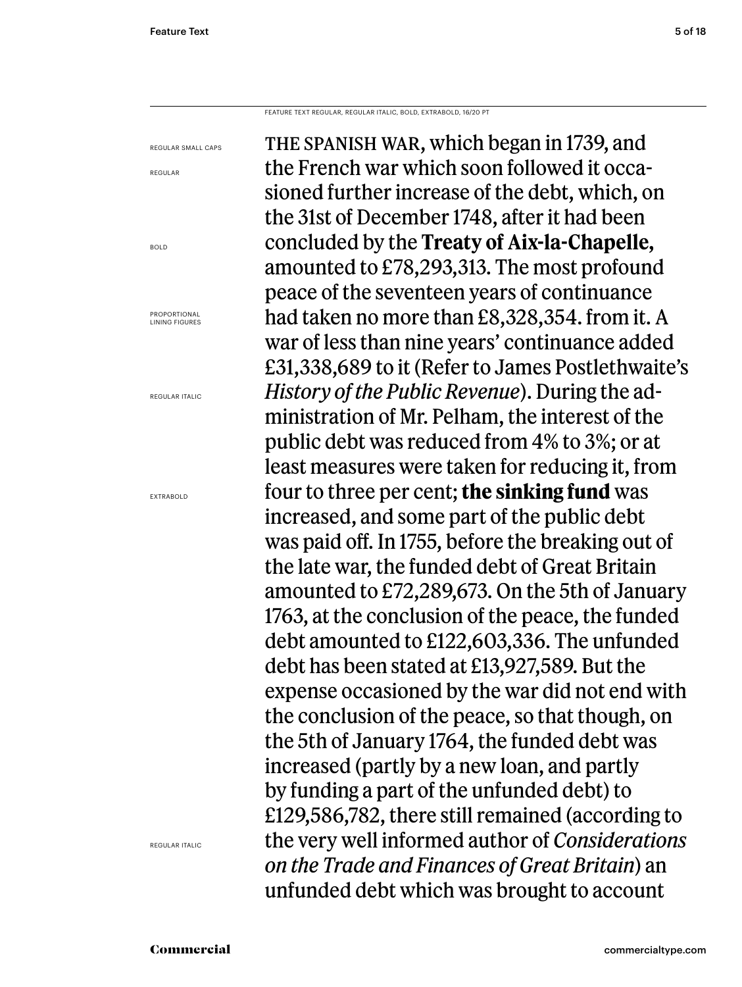BOLD

FEATURE TEXT REGULAR, REGULAR ITALIC, BOLD, EXTRABOLD, 16/20 PT

THE SPANISH WAR, which began in 1739, and the French war which soon followed it occasioned further increase of the debt, which, on the 31st of December 1748, after it had been concluded by the **Treaty of Aix-la-Chapelle,**  amounted to £78,293,313. The most profound peace of the seventeen years of continuance had taken no more than £8,328,354. from it. A war of less than nine years' continuance added £31,338,689 to it (Refer to James Postlethwaite's *History of the Public Revenue*). During the administration of Mr. Pelham, the interest of the public debt was reduced from 4% to 3%; or at least measures were taken for reducing it, from four to three per cent; **the sinking fund** was increased, and some part of the public debt was paid off. In 1755, before the breaking out of the late war, the funded debt of Great Britain amounted to £72,289,673. On the 5th of January 1763, at the conclusion of the peace, the funded debt amounted to £122,603,336. The unfunded debt has been stated at £13,927,589. But the expense occasioned by the war did not end with the conclusion of the peace, so that though, on the 5th of January 1764, the funded debt was increased (partly by a new loan, and partly by funding a part of the unfunded debt) to £129,586,782, there still remained (according to the very well informed author of *Considerations on the Trade and Finances of Great Britain*) an unfunded debt which was brought to account REGULAR SMALL CAPS REGULAR PROPORTIONAL LINING FIGURES REGULAR ITALIC EXTRABOLD

REGULAR ITALIC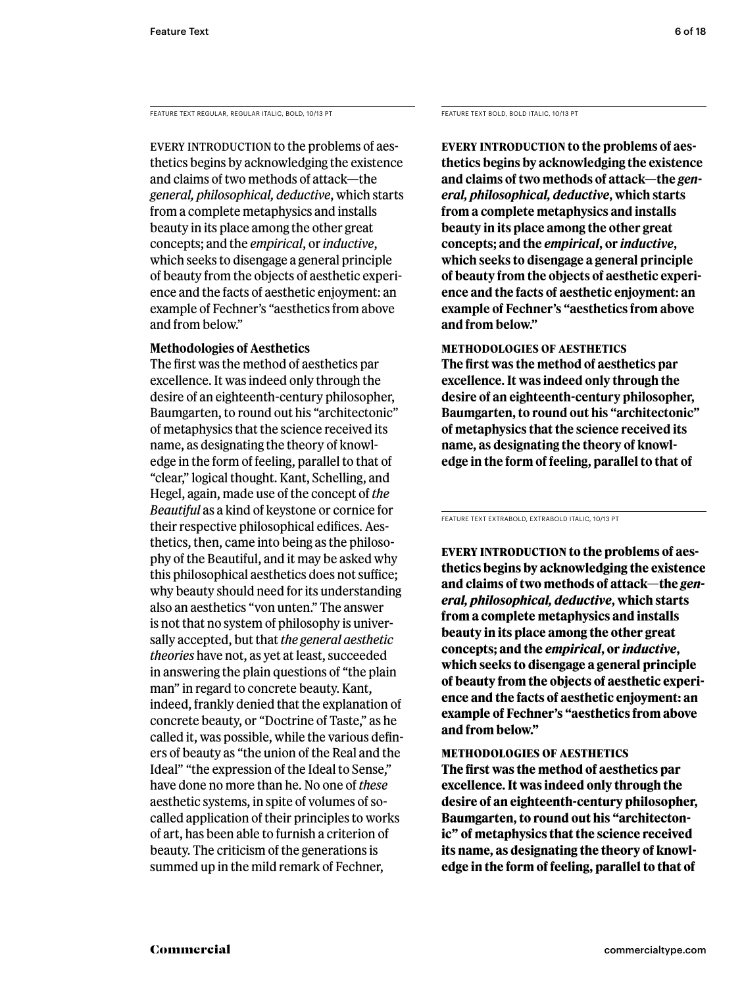FEATURE TEXT REGULAR, REGULAR ITALIC, BOLD, 10/13 PT

EVERY INTRODUCTION to the problems of aesthetics begins by acknowledging the existence and claims of two methods of attack—the *general, philosophical, deductive*, which starts from a complete metaphysics and installs beauty in its place among the other great concepts; and the *empirical*, or *inductive*, which seeks to disengage a general principle of beauty from the objects of aesthetic experience and the facts of aesthetic enjoyment: an example of Fechner's "aesthetics from above and from below."

# **Methodologies of Aesthetics**

The first was the method of aesthetics par excellence. It was indeed only through the desire of an eighteenth-century philosopher, Baumgarten, to round out his "architectonic" of metaphysics that the science received its name, as designating the theory of knowledge in the form of feeling, parallel to that of "clear," logical thought. Kant, Schelling, and Hegel, again, made use of the concept of *the Beautiful* as a kind of keystone or cornice for their respective philosophical edifices. Aesthetics, then, came into being as the philosophy of the Beautiful, and it may be asked why this philosophical aesthetics does not suffice; why beauty should need for its understanding also an aesthetics "von unten." The answer is not that no system of philosophy is universally accepted, but that *the general aesthetic theories* have not, as yet at least, succeeded in answering the plain questions of "the plain man" in regard to concrete beauty. Kant, indeed, frankly denied that the explanation of concrete beauty, or "Doctrine of Taste," as he called it, was possible, while the various definers of beauty as "the union of the Real and the Ideal" "the expression of the Ideal to Sense," have done no more than he. No one of *these* aesthetic systems, in spite of volumes of socalled application of their principles to works of art, has been able to furnish a criterion of beauty. The criticism of the generations is summed up in the mild remark of Fechner,

FEATURE TEXT BOLD, BOLD ITALIC, 10/13 PT

**Every introduction to the problems of aesthetics begins by acknowledging the existence and claims of two methods of attack—the** *general, philosophical, deductive***, which starts from a complete metaphysics and installs beauty in its place among the other great concepts; and the** *empirical***, or** *inductive***, which seeks to disengage a general principle of beauty from the objects of aesthetic experience and the facts of aesthetic enjoyment: an example of Fechner's "aesthetics from above and from below."** 

**Methodologies of Aesthetics The first was the method of aesthetics par excellence. It was indeed only through the desire of an eighteenth-century philosopher, Baumgarten, to round out his "architectonic" of metaphysics that the science received its name, as designating the theory of knowledge in the form of feeling, parallel to that of** 

FEATURE TEXT EXTRABOLD, EXTRABOLD ITALIC, 10/13 PT

**Every introduction to the problems of aesthetics begins by acknowledging the existence and claims of two methods of attack—the** *general, philosophical, deductive***, which starts from a complete metaphysics and installs beauty in its place among the other great concepts; and the** *empirical***, or** *inductive***, which seeks to disengage a general principle of beauty from the objects of aesthetic experience and the facts of aesthetic enjoyment: an example of Fechner's "aesthetics from above and from below."** 

## **Methodologies of Aesthetics**

**The first was the method of aesthetics par excellence. It was indeed only through the desire of an eighteenth-century philosopher, Baumgarten, to round out his "architectonic" of metaphysics that the science received its name, as designating the theory of knowledge in the form of feeling, parallel to that of**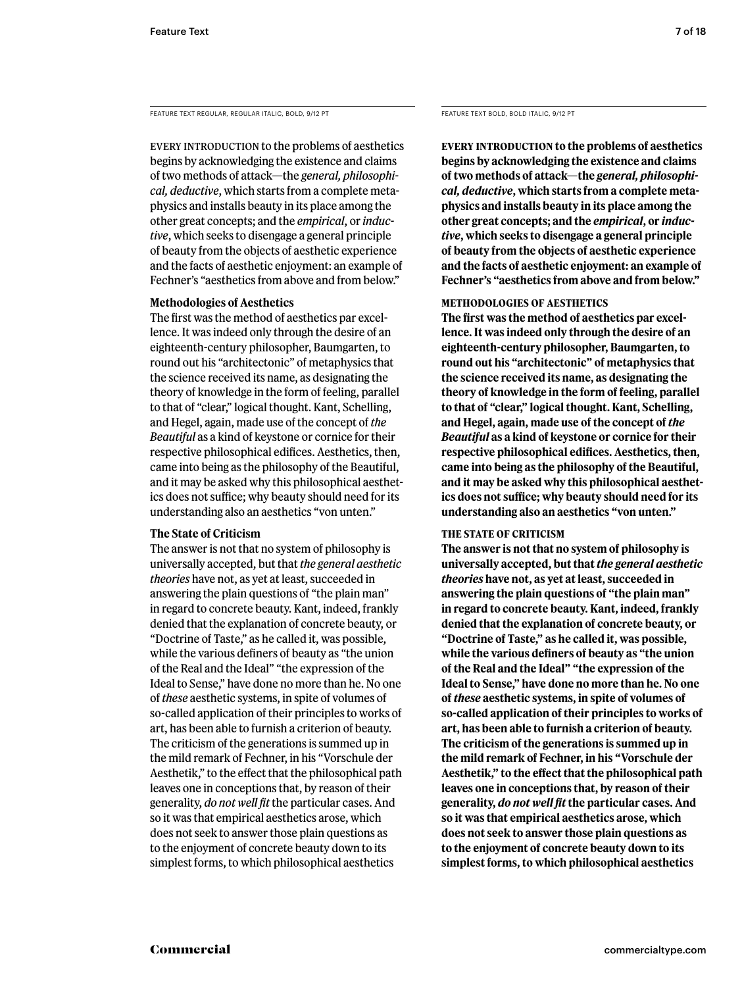FEATURE TEXT REGULAR, REGULAR ITALIC, BOLD, 9/12 PT

EVERY INTRODUCTION to the problems of aesthetics begins by acknowledging the existence and claims of two methods of attack—the *general, philosophical, deductive*, which starts from a complete metaphysics and installs beauty in its place among the other great concepts; and the *empirical*, or *inductive*, which seeks to disengage a general principle of beauty from the objects of aesthetic experience and the facts of aesthetic enjoyment: an example of Fechner's "aesthetics from above and from below."

#### **Methodologies of Aesthetics**

The first was the method of aesthetics par excellence. It was indeed only through the desire of an eighteenth-century philosopher, Baumgarten, to round out his "architectonic" of metaphysics that the science received its name, as designating the theory of knowledge in the form of feeling, parallel to that of "clear," logical thought. Kant, Schelling, and Hegel, again, made use of the concept of *the Beautiful* as a kind of keystone or cornice for their respective philosophical edifices. Aesthetics, then, came into being as the philosophy of the Beautiful, and it may be asked why this philosophical aesthetics does not suffice; why beauty should need for its understanding also an aesthetics "von unten."

## **The State of Criticism**

The answer is not that no system of philosophy is universally accepted, but that *the general aesthetic theories* have not, as yet at least, succeeded in answering the plain questions of "the plain man" in regard to concrete beauty. Kant, indeed, frankly denied that the explanation of concrete beauty, or "Doctrine of Taste," as he called it, was possible, while the various definers of beauty as "the union of the Real and the Ideal" "the expression of the Ideal to Sense," have done no more than he. No one of *these* aesthetic systems, in spite of volumes of so-called application of their principles to works of art, has been able to furnish a criterion of beauty. The criticism of the generations is summed up in the mild remark of Fechner, in his "Vorschule der Aesthetik," to the effect that the philosophical path leaves one in conceptions that, by reason of their generality, *do not well fit* the particular cases. And so it was that empirical aesthetics arose, which does not seek to answer those plain questions as to the enjoyment of concrete beauty down to its simplest forms, to which philosophical aesthetics

FEATURE TEXT BOLD, BOLD ITALIC, 9/12 PT

**Every introduction to the problems of aesthetics begins by acknowledging the existence and claims of two methods of attack—the** *general, philosophical, deductive***, which starts from a complete metaphysics and installs beauty in its place among the other great concepts; and the** *empirical***, or** *inductive***, which seeks to disengage a general principle of beauty from the objects of aesthetic experience and the facts of aesthetic enjoyment: an example of Fechner's "aesthetics from above and from below."** 

# **Methodologies of Aesthetics**

**The first was the method of aesthetics par excellence. It was indeed only through the desire of an eighteenth-century philosopher, Baumgarten, to round out his "architectonic" of metaphysics that the science received its name, as designating the theory of knowledge in the form of feeling, parallel to that of "clear," logical thought. Kant, Schelling, and Hegel, again, made use of the concept of** *the Beautiful* **as a kind of keystone or cornice for their respective philosophical edifices. Aesthetics, then, came into being as the philosophy of the Beautiful, and it may be asked why this philosophical aesthetics does not suffice; why beauty should need for its understanding also an aesthetics "von unten."** 

## **The State of Criticism**

**The answer is not that no system of philosophy is universally accepted, but that** *the general aesthetic theories* **have not, as yet at least, succeeded in answering the plain questions of "the plain man" in regard to concrete beauty. Kant, indeed, frankly denied that the explanation of concrete beauty, or "Doctrine of Taste," as he called it, was possible, while the various definers of beauty as "the union of the Real and the Ideal" "the expression of the Ideal to Sense," have done no more than he. No one of** *these* **aesthetic systems, in spite of volumes of so-called application of their principles to works of art, has been able to furnish a criterion of beauty. The criticism of the generations is summed up in the mild remark of Fechner, in his "Vorschule der Aesthetik," to the effect that the philosophical path leaves one in conceptions that, by reason of their generality,** *do not well fit* **the particular cases. And so it was that empirical aesthetics arose, which does not seek to answer those plain questions as to the enjoyment of concrete beauty down to its simplest forms, to which philosophical aesthetics**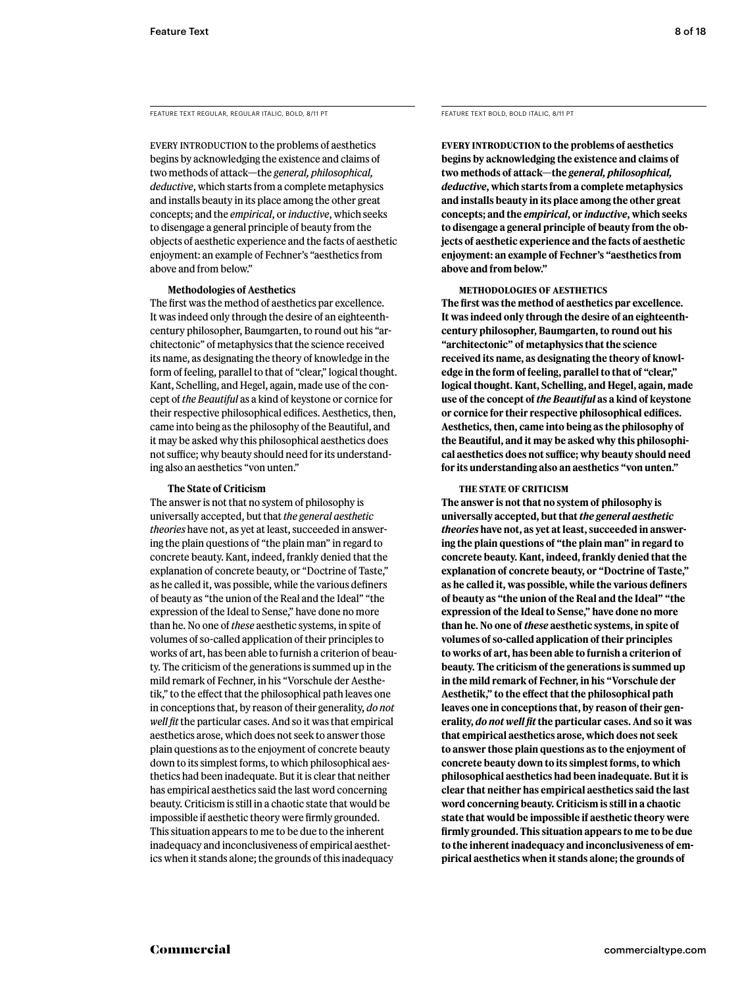FEATURE TEXT REGULAR, REGULAR ITALIC, BOLD, 8/11 PT

EVERY INTRODUCTION to the problems of aesthetics begins by acknowledging the existence and claims of two methods of attack—the *general, philosophical, deductive*, which starts from a complete metaphysics and installs beauty in its place among the other great concepts; and the *empirical*, or *inductive*, which seeks to disengage a general principle of beauty from the objects of aesthetic experience and the facts of aesthetic enjoyment: an example of Fechner's "aesthetics from above and from below."

#### **Methodologies of Aesthetics**

The first was the method of aesthetics par excellence. It was indeed only through the desire of an eighteenthcentury philosopher, Baumgarten, to round out his "architectonic" of metaphysics that the science received its name, as designating the theory of knowledge in the form of feeling, parallel to that of "clear," logical thought. Kant, Schelling, and Hegel, again, made use of the concept of *the Beautiful* as a kind of keystone or cornice for their respective philosophical edifices. Aesthetics, then, came into being as the philosophy of the Beautiful, and it may be asked why this philosophical aesthetics does not suffice; why beauty should need for its understanding also an aesthetics "von unten."

#### **The State of Criticism**

The answer is not that no system of philosophy is universally accepted, but that *the general aesthetic theories* have not, as yet at least, succeeded in answering the plain questions of "the plain man" in regard to concrete beauty. Kant, indeed, frankly denied that the explanation of concrete beauty, or "Doctrine of Taste," as he called it, was possible, while the various definers of beauty as "the union of the Real and the Ideal" "the expression of the Ideal to Sense," have done no more than he. No one of *these* aesthetic systems, in spite of volumes of so-called application of their principles to works of art, has been able to furnish a criterion of beauty. The criticism of the generations is summed up in the mild remark of Fechner, in his "Vorschule der Aesthetik," to the effect that the philosophical path leaves one in conceptions that, by reason of their generality, *do not well fit* the particular cases. And so it was that empirical aesthetics arose, which does not seek to answer those plain questions as to the enjoyment of concrete beauty down to its simplest forms, to which philosophical aesthetics had been inadequate. But it is clear that neither has empirical aesthetics said the last word concerning beauty. Criticism is still in a chaotic state that would be impossible if aesthetic theory were firmly grounded. This situation appears to me to be due to the inherent inadequacy and inconclusiveness of empirical aesthetics when it stands alone; the grounds of this inadequacy

FEATURE TEXT BOLD, BOLD ITALIC, 8/11 PT

**Every introduction to the problems of aesthetics begins by acknowledging the existence and claims of two methods of attack—the** *general, philosophical, deductive***, which starts from a complete metaphysics and installs beauty in its place among the other great concepts; and the** *empirical***, or** *inductive***, which seeks to disengage a general principle of beauty from the objects of aesthetic experience and the facts of aesthetic enjoyment: an example of Fechner's "aesthetics from above and from below."** 

#### **Methodologies of Aesthetics**

**The first was the method of aesthetics par excellence. It was indeed only through the desire of an eighteenthcentury philosopher, Baumgarten, to round out his "architectonic" of metaphysics that the science received its name, as designating the theory of knowledge in the form of feeling, parallel to that of "clear," logical thought. Kant, Schelling, and Hegel, again, made use of the concept of** *the Beautiful* **as a kind of keystone or cornice for their respective philosophical edifices. Aesthetics, then, came into being as the philosophy of the Beautiful, and it may be asked why this philosophical aesthetics does not suffice; why beauty should need for its understanding also an aesthetics "von unten."** 

#### **The State of Criticism**

**The answer is not that no system of philosophy is universally accepted, but that** *the general aesthetic theories* **have not, as yet at least, succeeded in answering the plain questions of "the plain man" in regard to concrete beauty. Kant, indeed, frankly denied that the explanation of concrete beauty, or "Doctrine of Taste," as he called it, was possible, while the various definers of beauty as "the union of the Real and the Ideal" "the expression of the Ideal to Sense," have done no more than he. No one of** *these* **aesthetic systems, in spite of volumes of so-called application of their principles to works of art, has been able to furnish a criterion of beauty. The criticism of the generations is summed up in the mild remark of Fechner, in his "Vorschule der Aesthetik," to the effect that the philosophical path leaves one in conceptions that, by reason of their generality,** *do not well fit* **the particular cases. And so it was that empirical aesthetics arose, which does not seek to answer those plain questions as to the enjoyment of concrete beauty down to its simplest forms, to which philosophical aesthetics had been inadequate. But it is clear that neither has empirical aesthetics said the last word concerning beauty. Criticism is still in a chaotic state that would be impossible if aesthetic theory were firmly grounded. This situation appears to me to be due to the inherent inadequacy and inconclusiveness of empirical aesthetics when it stands alone; the grounds of**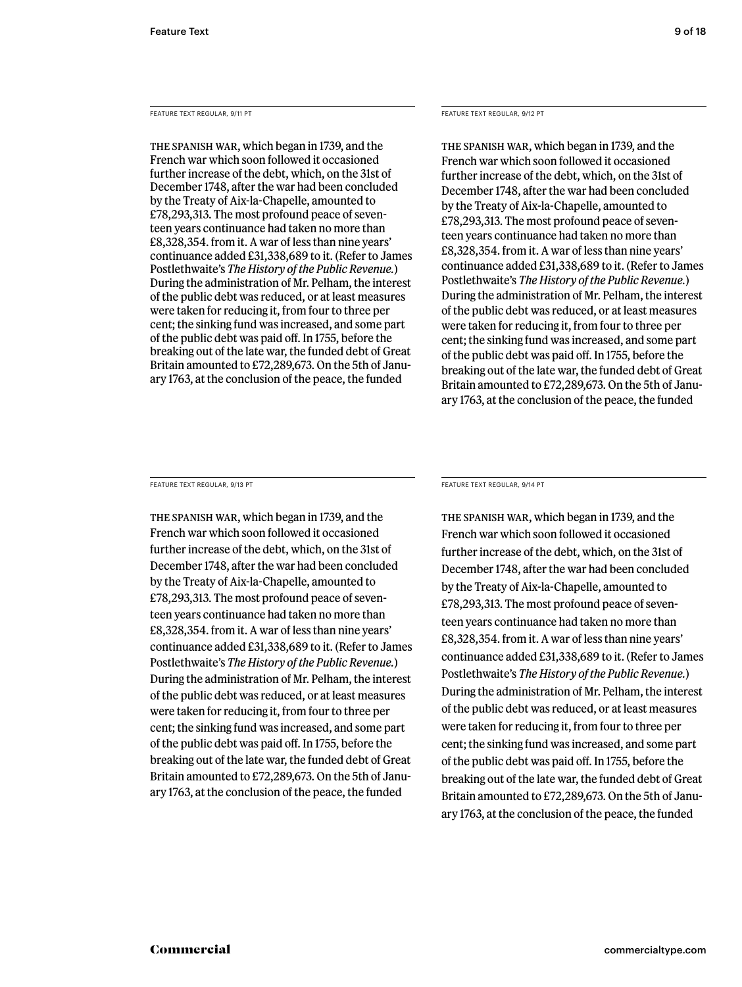FEATURE TEXT REGULAR, 9/11 PT

The Spanish War, which began in 1739, and the French war which soon followed it occasioned further increase of the debt, which, on the 31st of December 1748, after the war had been concluded by the Treaty of Aix-la-Chapelle, amounted to £78,293,313. The most profound peace of seventeen years continuance had taken no more than £8,328,354. from it. A war of less than nine years' continuance added £31,338,689 to it. (Refer to James Postlethwaite's *The History of the Public Revenue.*) During the administration of Mr. Pelham, the interest of the public debt was reduced, or at least measures were taken for reducing it, from four to three per cent; the sinking fund was increased, and some part of the public debt was paid off. In 1755, before the breaking out of the late war, the funded debt of Great Britain amounted to £72,289,673. On the 5th of January 1763, at the conclusion of the peace, the funded

FEATURE TEXT REGULAR, 9/12 PT

The Spanish War, which began in 1739, and the French war which soon followed it occasioned further increase of the debt, which, on the 31st of December 1748, after the war had been concluded by the Treaty of Aix-la-Chapelle, amounted to £78,293,313. The most profound peace of seventeen years continuance had taken no more than £8,328,354. from it. A war of less than nine years' continuance added £31,338,689 to it. (Refer to James Postlethwaite's *The History of the Public Revenue.*) During the administration of Mr. Pelham, the interest of the public debt was reduced, or at least measures were taken for reducing it, from four to three per cent; the sinking fund was increased, and some part of the public debt was paid off. In 1755, before the breaking out of the late war, the funded debt of Great Britain amounted to £72,289,673. On the 5th of January 1763, at the conclusion of the peace, the funded

FEATURE TEXT REGULAR, 9/13 PT

The Spanish War, which began in 1739, and the French war which soon followed it occasioned further increase of the debt, which, on the 31st of December 1748, after the war had been concluded by the Treaty of Aix-la-Chapelle, amounted to £78,293,313. The most profound peace of seventeen years continuance had taken no more than £8,328,354. from it. A war of less than nine years' continuance added £31,338,689 to it. (Refer to James Postlethwaite's *The History of the Public Revenue.*) During the administration of Mr. Pelham, the interest of the public debt was reduced, or at least measures were taken for reducing it, from four to three per cent; the sinking fund was increased, and some part of the public debt was paid off. In 1755, before the breaking out of the late war, the funded debt of Great Britain amounted to £72,289,673. On the 5th of January 1763, at the conclusion of the peace, the funded

FEATURE TEXT REGULAR, 9/14 PT

The Spanish War, which began in 1739, and the French war which soon followed it occasioned further increase of the debt, which, on the 31st of December 1748, after the war had been concluded by the Treaty of Aix-la-Chapelle, amounted to £78,293,313. The most profound peace of seventeen years continuance had taken no more than £8,328,354. from it. A war of less than nine years' continuance added £31,338,689 to it. (Refer to James Postlethwaite's *The History of the Public Revenue.*) During the administration of Mr. Pelham, the interest of the public debt was reduced, or at least measures were taken for reducing it, from four to three per cent; the sinking fund was increased, and some part of the public debt was paid off. In 1755, before the breaking out of the late war, the funded debt of Great Britain amounted to £72,289,673. On the 5th of January 1763, at the conclusion of the peace, the funded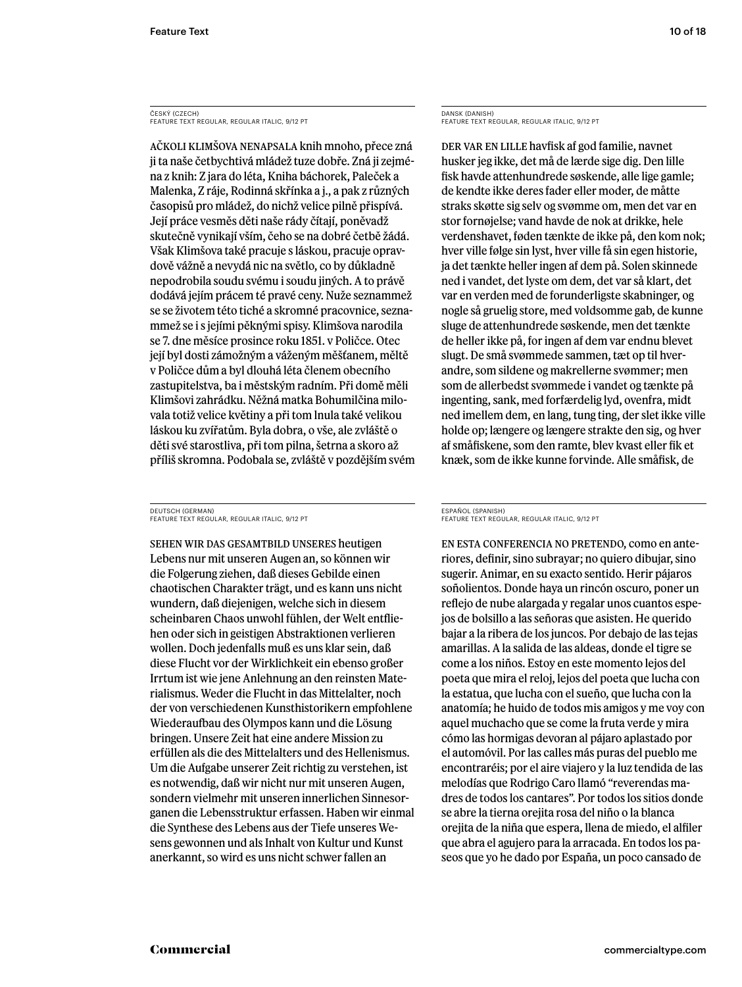ČESKÝ (CZECH) FEATURE TEXT REGULAR, REGULAR ITALIC, 9/12 PT

Ačkoli klimšova nenapsala knih mnoho, přece zná ji ta naše četbychtivá mládež tuze dobře. Zná ji zejména z knih: Z jara do léta, Kniha báchorek, Paleček a Malenka, Z ráje, Rodinná skřínka a j., a pak z různých časopisů pro mládež, do nichž velice pilně přispívá. Její práce vesměs děti naše rády čítají, poněvadž skutečně vynikají vším, čeho se na dobré četbě žádá. Však Klimšova také pracuje s láskou, pracuje opravdově vážně a nevydá nic na světlo, co by důkladně nepodrobila soudu svému i soudu jiných. A to právě dodává jejím prácem té pravé ceny. Nuže seznammež se se životem této tiché a skromné pracovnice, seznammež se i s jejími pěknými spisy. Klimšova narodila se 7. dne měsíce prosince roku 1851. v Poličce. Otec její byl dosti zámožným a váženým měšťanem, měltě v Poličce dům a byl dlouhá léta členem obecního zastupitelstva, ba i městským radním. Při domě měli Klimšovi zahrádku. Něžná matka Bohumilčina milovala totiž velice květiny a při tom lnula také velikou láskou ku zvířatům. Byla dobra, o vše, ale zvláště o děti své starostliva, při tom pilna, šetrna a skoro až příliš skromna. Podobala se, zvláště v pozdějším svém

DEUTSCH (GERMAN) FEATURE TEXT REGULAR, REGULAR ITALIC, 9/12 PT

Sehen wir das Gesamtbild unseres heutigen Lebens nur mit unseren Augen an, so können wir die Folgerung ziehen, daß dieses Gebilde einen chaotischen Charakter trägt, und es kann uns nicht wundern, daß diejenigen, welche sich in diesem scheinbaren Chaos unwohl fühlen, der Welt entfliehen oder sich in geistigen Abstraktionen verlieren wollen. Doch jedenfalls muß es uns klar sein, daß diese Flucht vor der Wirklichkeit ein ebenso großer Irrtum ist wie jene Anlehnung an den reinsten Materialismus. Weder die Flucht in das Mittelalter, noch der von verschiedenen Kunsthistorikern empfohlene Wiederaufbau des Olympos kann und die Lösung bringen. Unsere Zeit hat eine andere Mission zu erfüllen als die des Mittelalters und des Hellenismus. Um die Aufgabe unserer Zeit richtig zu verstehen, ist es notwendig, daß wir nicht nur mit unseren Augen, sondern vielmehr mit unseren innerlichen Sinnesorganen die Lebensstruktur erfassen. Haben wir einmal die Synthese des Lebens aus der Tiefe unseres Wesens gewonnen und als Inhalt von Kultur und Kunst anerkannt, so wird es uns nicht schwer fallen an

DANSK (DANISH) FEATURE TEXT REGULAR, REGULAR ITALIC, 9/12 PT

Der var en lille havfisk af god familie, navnet husker jeg ikke, det må de lærde sige dig. Den lille fisk havde attenhundrede søskende, alle lige gamle; de kendte ikke deres fader eller moder, de måtte straks skøtte sig selv og svømme om, men det var en stor fornøjelse; vand havde de nok at drikke, hele verdenshavet, føden tænkte de ikke på, den kom nok; hver ville følge sin lyst, hver ville få sin egen historie, ja det tænkte heller ingen af dem på. Solen skinnede ned i vandet, det lyste om dem, det var så klart, det var en verden med de forunderligste skabninger, og nogle så gruelig store, med voldsomme gab, de kunne sluge de attenhundrede søskende, men det tænkte de heller ikke på, for ingen af dem var endnu blevet slugt. De små svømmede sammen, tæt op til hverandre, som sildene og makrellerne svømmer; men som de allerbedst svømmede i vandet og tænkte på ingenting, sank, med forfærdelig lyd, ovenfra, midt ned imellem dem, en lang, tung ting, der slet ikke ville holde op; længere og længere strakte den sig, og hver af småfiskene, som den ramte, blev kvast eller fik et knæk, som de ikke kunne forvinde. Alle småfisk, de

#### ESPAÑOL (SPANISH) FEATURE TEXT REGULAR, REGULAR ITALIC, 9/12 PT

En esta conferencia no pretendo, como en anteriores, definir, sino subrayar; no quiero dibujar, sino sugerir. Animar, en su exacto sentido. Herir pájaros soñolientos. Donde haya un rincón oscuro, poner un reflejo de nube alargada y regalar unos cuantos espejos de bolsillo a las señoras que asisten. He querido bajar a la ribera de los juncos. Por debajo de las tejas amarillas. A la salida de las aldeas, donde el tigre se come a los niños. Estoy en este momento lejos del poeta que mira el reloj, lejos del poeta que lucha con la estatua, que lucha con el sueño, que lucha con la anatomía; he huido de todos mis amigos y me voy con aquel muchacho que se come la fruta verde y mira cómo las hormigas devoran al pájaro aplastado por el automóvil. Por las calles más puras del pueblo me encontraréis; por el aire viajero y la luz tendida de las melodías que Rodrigo Caro llamó "reverendas madres de todos los cantares". Por todos los sitios donde se abre la tierna orejita rosa del niño o la blanca orejita de la niña que espera, llena de miedo, el alfiler que abra el agujero para la arracada. En todos los paseos que yo he dado por España, un poco cansado de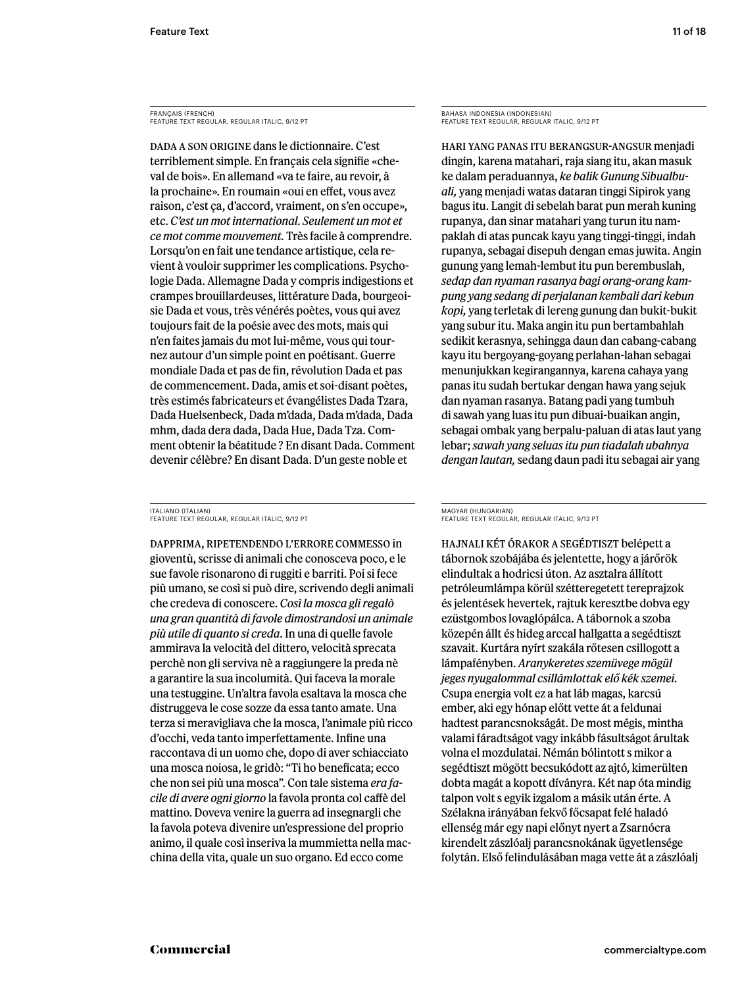FRANÇAIS (FRENCH) FEATURE TEXT REGULAR, REGULAR ITALIC, 9/12 PT

Dada a son origine dans le dictionnaire. C'est terriblement simple. En français cela signifie «cheval de bois». En allemand «va te faire, au revoir, à la prochaine». En roumain «oui en effet, vous avez raison, c'est ça, d'accord, vraiment, on s'en occupe», etc. *C'est un mot international. Seulement un mot et ce mot comme mouvement.* Très facile à comprendre. Lorsqu'on en fait une tendance artistique, cela revient à vouloir supprimer les complications. Psychologie Dada. Allemagne Dada y compris indigestions et crampes brouillardeuses, littérature Dada, bourgeoisie Dada et vous, très vénérés poètes, vous qui avez toujours fait de la poésie avec des mots, mais qui n'en faites jamais du mot lui-même, vous qui tournez autour d'un simple point en poétisant. Guerre mondiale Dada et pas de fin, révolution Dada et pas de commencement. Dada, amis et soi-disant poètes, très estimés fabricateurs et évangélistes Dada Tzara, Dada Huelsenbeck, Dada m'dada, Dada m'dada, Dada mhm, dada dera dada, Dada Hue, Dada Tza. Comment obtenir la béatitude ? En disant Dada. Comment devenir célèbre? En disant Dada. D'un geste noble et

ITALIANO (ITALIAN) FEATURE TEXT REGULAR, REGULAR ITALIC, 9/12 PT

Dapprima, ripetendendo l'errore commesso in gioventù, scrisse di animali che conosceva poco, e le sue favole risonarono di ruggiti e barriti. Poi si fece più umano, se così si può dire, scrivendo degli animali che credeva di conoscere. *Così la mosca gli regalò una gran quantità di favole dimostrandosi un animale più utile di quanto si creda*. In una di quelle favole ammirava la velocità del dittero, velocità sprecata perchè non gli serviva nè a raggiungere la preda nè a garantire la sua incolumità. Qui faceva la morale una testuggine. Un'altra favola esaltava la mosca che distruggeva le cose sozze da essa tanto amate. Una terza si meravigliava che la mosca, l'animale più ricco d'occhi, veda tanto imperfettamente. Infine una raccontava di un uomo che, dopo di aver schiacciato una mosca noiosa, le gridò: "Ti ho beneficata; ecco che non sei più una mosca". Con tale sistema *era facile di avere ogni giorno* la favola pronta col caffè del mattino. Doveva venire la guerra ad insegnargli che la favola poteva divenire un'espressione del proprio animo, il quale così inseriva la mummietta nella macchina della vita, quale un suo organo. Ed ecco come

BAHASA INDONESIA (INDONESIAN) FEATURE TEXT REGULAR, REGULAR ITALIC, 9/12 PT

Hari yang panas itu berangsur-angsur menjadi dingin, karena matahari, raja siang itu, akan masuk ke dalam peraduannya, *ke balik Gunung Sibualbuali,* yang menjadi watas dataran tinggi Sipirok yang bagus itu. Langit di sebelah barat pun merah kuning rupanya, dan sinar matahari yang turun itu nampaklah di atas puncak kayu yang tinggi-tinggi, indah rupanya, sebagai disepuh dengan emas juwita. Angin gunung yang lemah-lembut itu pun berembuslah, *sedap dan nyaman rasanya bagi orang-orang kampung yang sedang di perjalanan kembali dari kebun kopi,* yang terletak di lereng gunung dan bukit-bukit yang subur itu. Maka angin itu pun bertambahlah sedikit kerasnya, sehingga daun dan cabang-cabang kayu itu bergoyang-goyang perlahan-lahan sebagai menunjukkan kegirangannya, karena cahaya yang panas itu sudah bertukar dengan hawa yang sejuk dan nyaman rasanya. Batang padi yang tumbuh di sawah yang luas itu pun dibuai-buaikan angin, sebagai ombak yang berpalu-paluan di atas laut yang lebar; *sawah yang seluas itu pun tiadalah ubahnya dengan lautan,* sedang daun padi itu sebagai air yang

#### MAGYAR (HUNGARIAN) FEATURE TEXT REGULAR, REGULAR ITALIC, 9/12 PT

Hajnali két órakor a segédtiszt belépett a tábornok szobájába és jelentette, hogy a járőrök elindultak a hodricsi úton. Az asztalra állított petróleumlámpa körül szétteregetett tereprajzok és jelentések hevertek, rajtuk keresztbe dobva egy ezüstgombos lovaglópálca. A tábornok a szoba közepén állt és hideg arccal hallgatta a segédtiszt szavait. Kurtára nyírt szakála rőtesen csillogott a lámpafényben. *Aranykeretes szemüvege mögül jeges nyugalommal csillámlottak elő kék szemei.* Csupa energia volt ez a hat láb magas, karcsú ember, aki egy hónap előtt vette át a feldunai hadtest parancsnokságát. De most mégis, mintha valami fáradtságot vagy inkább fásultságot árultak volna el mozdulatai. Némán bólintott s mikor a segédtiszt mögött becsukódott az ajtó, kimerülten dobta magát a kopott díványra. Két nap óta mindig talpon volt s egyik izgalom a másik után érte. A Szélakna irányában fekvő főcsapat felé haladó ellenség már egy napi előnyt nyert a Zsarnócra kirendelt zászlóalj parancsnokának ügyetlensége folytán. Első felindulásában maga vette át a zászlóalj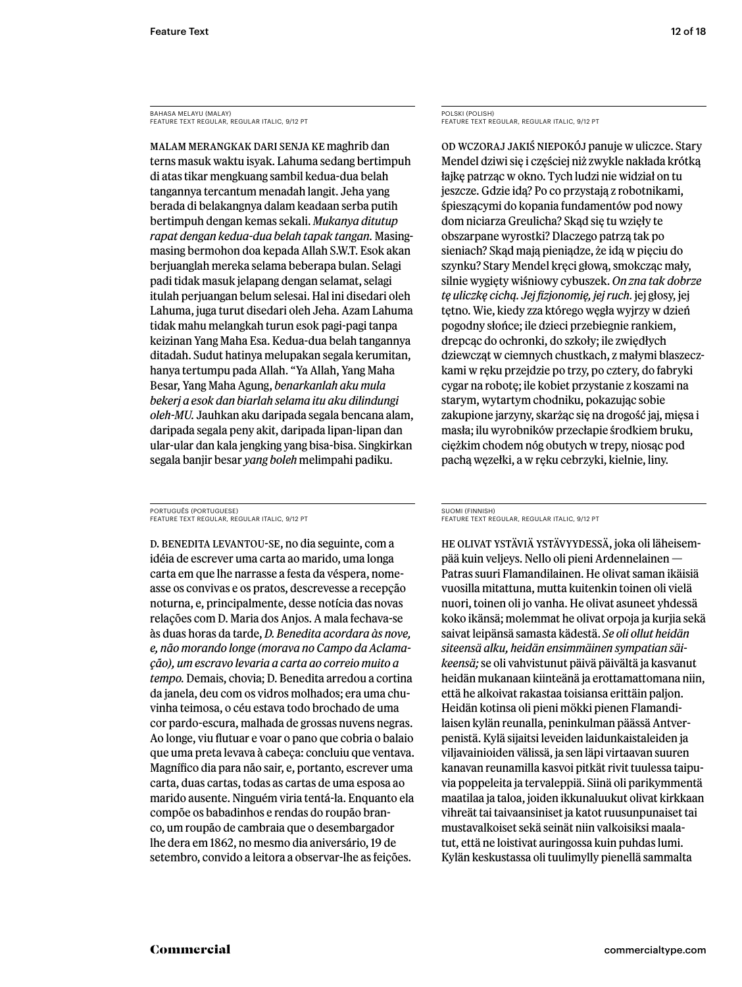BAHASA MELAYU (MALAY) FEATURE TEXT REGULAR, REGULAR ITALIC, 9/12 PT

Malam merangkak dari senja ke maghrib dan terns masuk waktu isyak. Lahuma sedang bertimpuh di atas tikar mengkuang sambil kedua-dua belah tangannya tercantum menadah langit. Jeha yang berada di belakangnya dalam keadaan serba putih bertimpuh dengan kemas sekali. *Mukanya ditutup rapat dengan kedua-dua belah tapak tangan.* Masingmasing bermohon doa kepada Allah S.W.T. Esok akan berjuanglah mereka selama beberapa bulan. Selagi padi tidak masuk jelapang dengan selamat, selagi itulah perjuangan belum selesai. Hal ini disedari oleh Lahuma, juga turut disedari oleh Jeha. Azam Lahuma tidak mahu melangkah turun esok pagi-pagi tanpa keizinan Yang Maha Esa. Kedua-dua belah tangannya ditadah. Sudut hatinya melupakan segala kerumitan, hanya tertumpu pada Allah. "Ya Allah, Yang Maha Besar, Yang Maha Agung, *benarkanlah aku mula bekerj a esok dan biarlah selama itu aku dilindungi oleh-MU.* Jauhkan aku daripada segala bencana alam, daripada segala peny akit, daripada lipan-lipan dan ular-ular dan kala jengking yang bisa-bisa. Singkirkan segala banjir besar *yang boleh* melimpahi padiku.

PORTUGUÊS (PORTUGUESE) FEATURE TEXT REGULAR, REGULAR ITALIC, 9/12 PT

D. Benedita levantou-se, no dia seguinte, com a idéia de escrever uma carta ao marido, uma longa carta em que lhe narrasse a festa da véspera, nomeasse os convivas e os pratos, descrevesse a recepção noturna, e, principalmente, desse notícia das novas relações com D. Maria dos Anjos. A mala fechava-se às duas horas da tarde, *D. Benedita acordara às nove, e, não morando longe (morava no Campo da Aclamação), um escravo levaria a carta ao correio muito a tempo.* Demais, chovia; D. Benedita arredou a cortina da janela, deu com os vidros molhados; era uma chuvinha teimosa, o céu estava todo brochado de uma cor pardo-escura, malhada de grossas nuvens negras. Ao longe, viu flutuar e voar o pano que cobria o balaio que uma preta levava à cabeça: concluiu que ventava. Magnífico dia para não sair, e, portanto, escrever uma carta, duas cartas, todas as cartas de uma esposa ao marido ausente. Ninguém viria tentá-la. Enquanto ela compõe os babadinhos e rendas do roupão branco, um roupão de cambraia que o desembargador lhe dera em 1862, no mesmo dia aniversário, 19 de setembro, convido a leitora a observar-lhe as feições.

POLSKI (POLISH) FEATURE TEXT REGULAR, REGULAR ITALIC, 9/12 PT

Od wczoraj jakiś niepokój panuje w uliczce. Stary Mendel dziwi się i częściej niż zwykle nakłada krótką łajkę patrząc w okno. Tych ludzi nie widział on tu jeszcze. Gdzie idą? Po co przystają z robotnikami, śpieszącymi do kopania fundamentów pod nowy dom niciarza Greulicha? Skąd się tu wzięły te obszarpane wyrostki? Dlaczego patrzą tak po sieniach? Skąd mają pieniądze, że idą w pięciu do szynku? Stary Mendel kręci głową, smokcząc mały, silnie wygięty wiśniowy cybuszek. *On zna tak dobrze tę uliczkę cichą. Jej fizjonomię, jej ruch.* jej głosy, jej tętno. Wie, kiedy zza którego węgła wyjrzy w dzień pogodny słońce; ile dzieci przebiegnie rankiem, drepcąc do ochronki, do szkoły; ile zwiędłych dziewcząt w ciemnych chustkach, z małymi blaszeczkami w ręku przejdzie po trzy, po cztery, do fabryki cygar na robotę; ile kobiet przystanie z koszami na starym, wytartym chodniku, pokazując sobie zakupione jarzyny, skarżąc się na drogość jaj, mięsa i masła; ilu wyrobników przecłapie środkiem bruku, ciężkim chodem nóg obutych w trepy, niosąc pod pachą węzełki, a w ręku cebrzyki, kielnie, liny.

#### SUOMI (FINNISH) FEATURE TEXT REGULAR, REGULAR ITALIC, 9/12 PT

He olivat ystäviä ystävyydessä, joka oli läheisempää kuin veljeys. Nello oli pieni Ardennelainen — Patras suuri Flamandilainen. He olivat saman ikäisiä vuosilla mitattuna, mutta kuitenkin toinen oli vielä nuori, toinen oli jo vanha. He olivat asuneet yhdessä koko ikänsä; molemmat he olivat orpoja ja kurjia sekä saivat leipänsä samasta kädestä. *Se oli ollut heidän siteensä alku, heidän ensimmäinen sympatian säikeensä;* se oli vahvistunut päivä päivältä ja kasvanut heidän mukanaan kiinteänä ja erottamattomana niin, että he alkoivat rakastaa toisiansa erittäin paljon. Heidän kotinsa oli pieni mökki pienen Flamandilaisen kylän reunalla, peninkulman päässä Antverpenistä. Kylä sijaitsi leveiden laidunkaistaleiden ja viljavainioiden välissä, ja sen läpi virtaavan suuren kanavan reunamilla kasvoi pitkät rivit tuulessa taipuvia poppeleita ja tervaleppiä. Siinä oli parikymmentä maatilaa ja taloa, joiden ikkunaluukut olivat kirkkaan vihreät tai taivaansiniset ja katot ruusunpunaiset tai mustavalkoiset sekä seinät niin valkoisiksi maalatut, että ne loistivat auringossa kuin puhdas lumi. Kylän keskustassa oli tuulimylly pienellä sammalta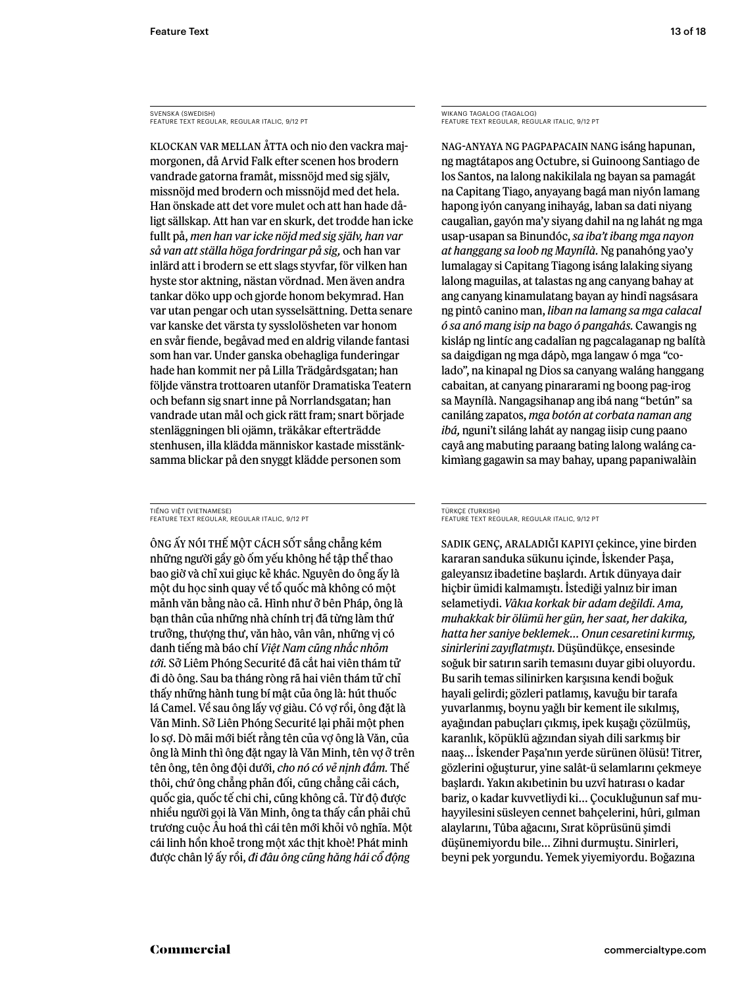SVENSKA (SWEDISH) FEATURE TEXT REGULAR, REGULAR ITALIC, 9/12 PT

Klockan var mellan åtta och nio den vackra majmorgonen, då Arvid Falk efter scenen hos brodern vandrade gatorna framåt, missnöjd med sig själv, missnöjd med brodern och missnöjd med det hela. Han önskade att det vore mulet och att han hade dåligt sällskap. Att han var en skurk, det trodde han icke fullt på, *men han var icke nöjd med sig själv, han var så van att ställa höga fordringar på sig,* och han var inlärd att i brodern se ett slags styvfar, för vilken han hyste stor aktning, nästan vördnad. Men även andra tankar döko upp och gjorde honom bekymrad. Han var utan pengar och utan sysselsättning. Detta senare var kanske det värsta ty sysslolösheten var honom en svår fiende, begåvad med en aldrig vilande fantasi som han var. Under ganska obehagliga funderingar hade han kommit ner på Lilla Trädgårdsgatan; han följde vänstra trottoaren utanför Dramatiska Teatern och befann sig snart inne på Norrlandsgatan; han vandrade utan mål och gick rätt fram; snart började stenläggningen bli ojämn, träkåkar efterträdde stenhusen, illa klädda människor kastade misstänksamma blickar på den snyggt klädde personen som

TIẾNG VIỆT (VIETNAMESE) FEATURE TEXT REGULAR, REGULAR ITALIC, 9/12 PT

Ông ấy nói thế một cách sốt sắng chẳng kém những người gầy gò ốm yếu không hề tập thể thao bao giờ và chỉ xui giục kẻ khác. Nguyên do ông ấy là một du học sinh quay về tổ quốc mà không có một mảnh văn bằng nào cả. Hình như ở bên Pháp, ông là bạn thân của những nhà chính trị đã từng làm thứ trưởng, thượng thư, văn hào, vân vân, những vị có danh tiếng mà báo chí *Việt Nam cũng nhắc nhỏm tới.* Sở Liêm Phóng Securité đã cắt hai viên thám tử đi dò ông. Sau ba tháng ròng rã hai viên thám tử chỉ thấy những hành tung bí mật của ông là: hút thuốc lá Camel. Về sau ông lấy vợ giàu. Có vợ rồi, ông đặt là Văn Minh. Sở Liên Phóng Securité lại phải một phen lo sợ. Dò mãi mới biết rằng tên của vợ ông là Văn, của ông là Minh thì ông đặt ngay là Văn Minh, tên vợ ở trên tên ông, tên ông đội dưới, *cho nó có vẻ nịnh đầm.* Thế thôi, chứ ông chẳng phản đối, cũng chẳng cải cách, quốc gia, quốc tế chi chi, cũng không cả. Từ độ được nhiều người gọi là Văn Minh, ông ta thấy cần phải chủ trương cuộc Âu hoá thì cái tên mới khỏi vô nghĩa. Một cái linh hồn khoẻ trong một xác thịt khoè! Phát minh được chân lý ấy rồi, *đi đâu ông cũng hăng hái cổ động* 

WIKANG TAGALOG (TAGALOG) FEATURE TEXT REGULAR, REGULAR ITALIC, 9/12 PT

Nag-anyaya ng pagpapacain nang isáng hapunan, ng magtátapos ang Octubre, si Guinoong Santiago de los Santos, na lalong nakikilala ng bayan sa pamagát na Capitang Tiago, anyayang bagá man niyón lamang hapong iyón canyang inihayág, laban sa dati niyang caugalìan, gayón ma'y siyang dahil na ng lahát ng mga usap-usapan sa Binundóc, *sa iba't ibang mga nayon at hanggang sa loob ng Maynílà.* Ng panahóng yao'y lumalagay si Capitang Tiagong isáng lalaking siyang lalong maguilas, at talastas ng ang canyang bahay at ang canyang kinamulatang bayan ay hindî nagsásara ng pintô canino man, *liban na lamang sa mga calacal ó sa anó mang isip na bago ó pangahás.* Cawangis ng kisláp ng lintíc ang cadalîan ng pagcalaganap ng balítà sa daigdigan ng mga dápò, mga langaw ó mga "colado", na kinapal ng Dios sa canyang waláng hanggang cabaitan, at canyang pinararami ng boong pag-irog sa Maynílà. Nangagsihanap ang ibá nang "betún" sa caniláng zapatos, *mga botón at corbata naman ang ibá,* nguni't siláng lahát ay nangag iisip cung paano cayâ ang mabuting paraang bating lalong waláng cakimìang gagawin sa may bahay, upang papaniwalàin

#### TÜRKÇE (TURKISH) FEATURE TEXT REGULAR, REGULAR ITALIC, 9/12 PT

Sadık genç, araladığı kapıyı çekince, yine birden kararan sanduka sükunu içinde, İskender Paşa, galeyansız ibadetine başlardı. Artık dünyaya dair hiçbir ümidi kalmamıştı. İstediği yalnız bir iman selametiydi. *Vâkıa korkak bir adam değildi. Ama, muhakkak bir ölümü her gün, her saat, her dakika, hatta her saniye beklemek… Onun cesaretini kırmış, sinirlerini zayıflatmıştı.* Düşündükçe, ensesinde soğuk bir satırın sarih temasını duyar gibi oluyordu. Bu sarih temas silinirken karşısına kendi boğuk hayali gelirdi; gözleri patlamış, kavuğu bir tarafa yuvarlanmış, boynu yağlı bir kement ile sıkılmış, ayağından pabuçları çıkmış, ipek kuşağı çözülmüş, karanlık, köpüklü ağzından siyah dili sarkmış bir naaş… İskender Paşa'nın yerde sürünen ölüsü! Titrer, gözlerini oğuşturur, yine salât-ü selamlarını çekmeye başlardı. Yakın akıbetinin bu uzvî hatırası o kadar bariz, o kadar kuvvetliydi ki… Çocukluğunun saf muhayyilesini süsleyen cennet bahçelerini, hûri, gılman alaylarını, Tûba ağacını, Sırat köprüsünü şimdi düşünemiyordu bile… Zihni durmuştu. Sinirleri, beyni pek yorgundu. Yemek yiyemiyordu. Boğazına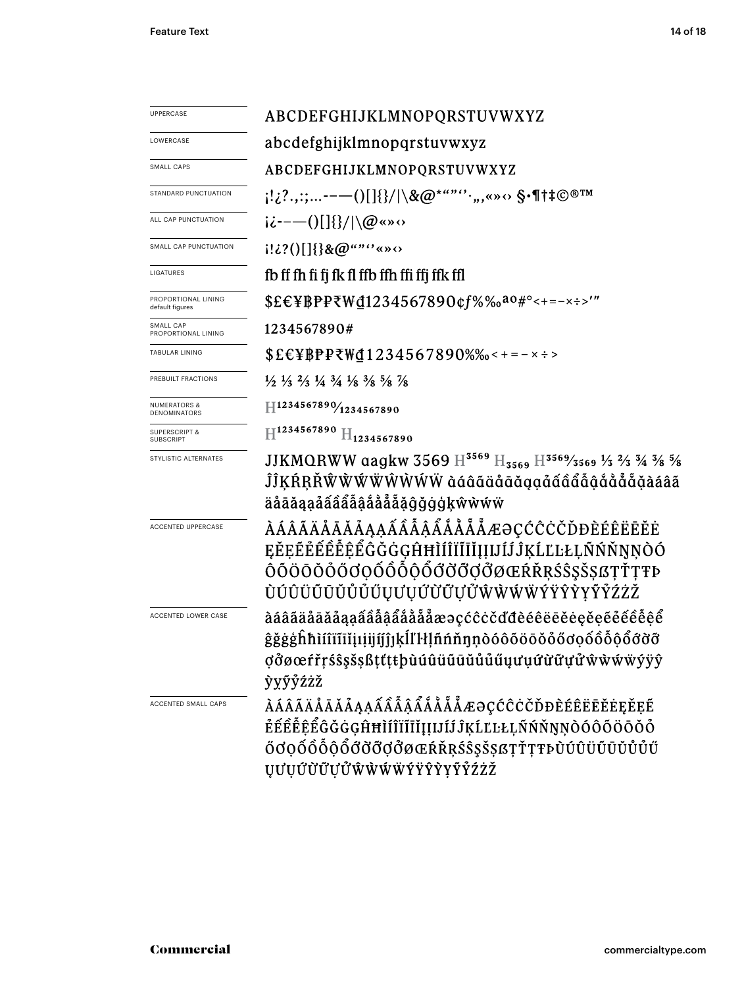| UPPERCASE                                    | ABCDEFGHIJKLMNOPQRSTUVWXYZ                                                                                                                                                                                                      |  |  |  |  |  |
|----------------------------------------------|---------------------------------------------------------------------------------------------------------------------------------------------------------------------------------------------------------------------------------|--|--|--|--|--|
| LOWERCASE                                    | abcdefghijklmnopqrstuvwxyz                                                                                                                                                                                                      |  |  |  |  |  |
| <b>SMALL CAPS</b>                            | ABCDEFGHIJKLMNOPQRSTUVWXYZ                                                                                                                                                                                                      |  |  |  |  |  |
| STANDARD PUNCTUATION                         | ;!¿?.,:;-−—()[]{}/ \&@*""'`·",«»↔ \$•¶†‡©®™                                                                                                                                                                                     |  |  |  |  |  |
| ALL CAP PUNCTUATION                          | $i\dot{\iota}$ ----()[]{}/ \@«» $\circ$                                                                                                                                                                                         |  |  |  |  |  |
| SMALL CAP PUNCTUATION                        | $[12?()[]$ }&@"" ** * * * *                                                                                                                                                                                                     |  |  |  |  |  |
| LIGATURES                                    | fb ff fh fi fj fk fl ffb ffh ffi ffj ffk ffl                                                                                                                                                                                    |  |  |  |  |  |
| PROPORTIONAL LINING<br>default figures       | \$£€¥BPP₹\d1234567890¢f%‰ <sup>a0#</sup> °<+=-×÷>'"                                                                                                                                                                             |  |  |  |  |  |
| SMALL CAP<br>PROPORTIONAL LINING             | 1234567890#                                                                                                                                                                                                                     |  |  |  |  |  |
| <b>TABULAR LINING</b>                        | $$EEYBPP\overline{Y}W\underline{d}1234567890\%$ % < + = - x ÷ >                                                                                                                                                                 |  |  |  |  |  |
| PREBUILT FRACTIONS                           | $\frac{1}{2}$ $\frac{1}{3}$ $\frac{2}{3}$ $\frac{1}{4}$ $\frac{3}{4}$ $\frac{1}{8}$ $\frac{3}{8}$ $\frac{5}{8}$ $\frac{7}{8}$                                                                                                   |  |  |  |  |  |
| <b>NUMERATORS &amp;</b><br>DENOMINATORS      | $\text{H}^{1234567890}/\text{1234567890}$                                                                                                                                                                                       |  |  |  |  |  |
| <b>SUPERSCRIPT &amp;</b><br><b>SUBSCRIPT</b> | $\mathbb{H}^{1234567890}$ $\mathbb{H}_{1234567890}$                                                                                                                                                                             |  |  |  |  |  |
| STYLISTIC ALTERNATES                         | JJKMQRWW aagkw 3569 $\text{H}^{3569}$ $\text{H}_{3569}$ $\text{H}^{3569}$ /3569 $\frac{1}{3}$ $\frac{2}{3}$ $\frac{3}{4}$ $\frac{3}{8}$ $\frac{5}{8}$<br>ĴĴĶŔŖŘŴŴŴŴŴŴŴŸ àáâãäåāǎạạảấẩẩẫậắååẵẵåáâã<br>äåāăąạảấẩẩẫậắằẳẵặĝğġģķŵẁẃẅ |  |  |  |  |  |
| <b>ACCENTED UPPERCASE</b>                    | ÀÁÂÃÄÄÅĀĂÅĄĄÁÂÂÂÅÅÅÅÆƏÇĆĈĊČĎĐÈÉÊËĒĔĖ<br>EĔĒĔĔĔÊÊÊÊĜĞĞĠĢĤĦÌÍÎÏĨĬĮĮIJĺĴĶĹĽĿŁĻÑŃŇŅŅÒÓ<br>ÔÕÖŌŎŎŐŎQŎÔÔÔŐŐŎŎŎØŒŔŘŖŚŜŞŠŞßŢŤŢŦÞ<br>ÙÚÛÜŨŪŬŮŮŰŲƯŲŰŬŨŲŰŴŴŴŴŸŸŶŶŸŶŹŻŽ                                                                     |  |  |  |  |  |
| ACCENTED LOWER CASE                          | àáâãäåāǎååąaẩââậẩååååæəçćĉċčďđèéêëēěėęěeẽéểê $\hat{e}\hat{e}$<br>ĝğġġĥħìíîïĩiĭịıịijíjĵĵķĺľŀłḷñńňŋņòóôõöōŏőőơọốôỗộổỡỡỡ<br>ợởøœŕřŗśŝşšşßţťţŧþùúûüūūŭůűúųưụứừữựửŵẁẃẅýÿŷ<br>ỳỵỹỷźżž                                                 |  |  |  |  |  |
| <b>ACCENTED SMALL CAPS</b>                   | ÀÁÂÃÄÅĀĂÅĄĄÁÂÂÂÅÅÅÅÅÆƏÇĆĈĊČĎĐÈÉÊËĒĔĖĘĚĘĔ<br>ĔÉÊÊÊÊĜĞĠĠĢĤĦÌÍÎÏĨĬĬĮIJĺĴĶĹĽĿŁĻÑŃŇŊŅÒÓÔÕÖŌŎŐ<br>ŐďQŐÔÕÔŐŐŐŐØØŒŔŘŖŚŜŞŠŞßŢŤŢŦÞÙÚÛÜŨŪŬŮŰŰ<br>ŲƯŲŰŨŨŲぴŴŴŴŴÝŸŶŶYŶŹŹŽ                                                                     |  |  |  |  |  |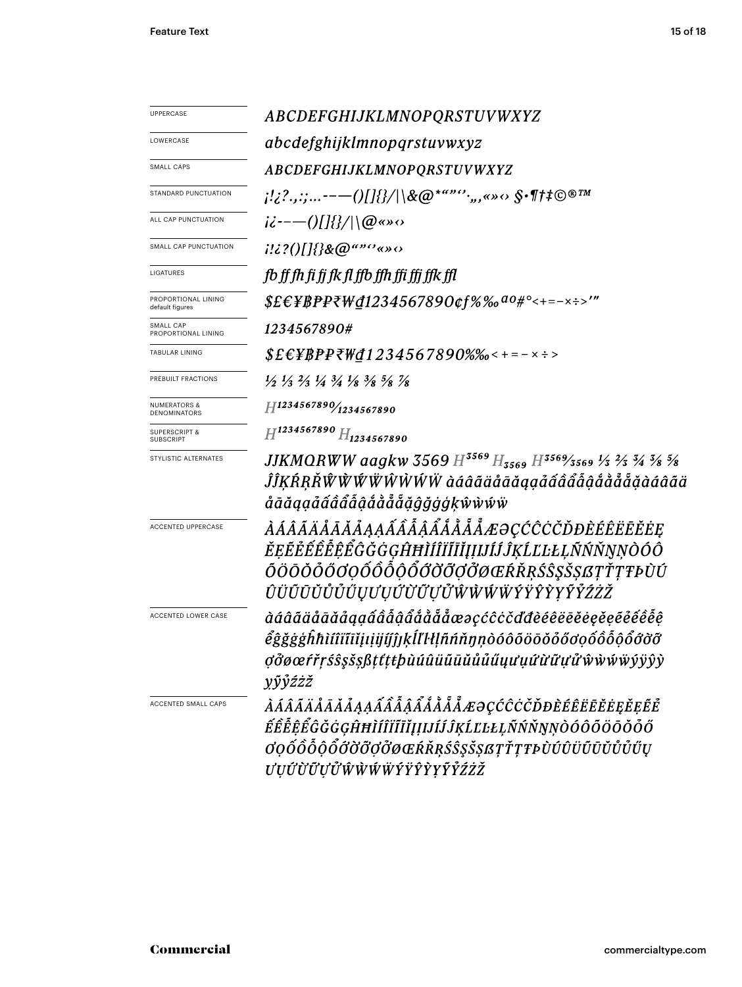| <b>UPPERCASE</b>                             | ABCDEFGHIJKLMNOPQRSTUVWXYZ                                                                                                                                                                               |  |  |  |  |  |
|----------------------------------------------|----------------------------------------------------------------------------------------------------------------------------------------------------------------------------------------------------------|--|--|--|--|--|
| LOWERCASE                                    | abcdefghijklmnopqrstuvwxyz                                                                                                                                                                               |  |  |  |  |  |
| SMALL CAPS                                   | ABCDEFGHIJKLMNOPQRSTUVWXYZ                                                                                                                                                                               |  |  |  |  |  |
| STANDARD PUNCTUATION                         | $\{1,2^2,2^2,\ldots---(1)\}$ $\{1,2^{\kappa}\}$ $\{1,2^{\kappa}\}$ $\{2^{\kappa}\}$ $\{3^{\kappa}\}$ $\{4^{\kappa}\}$ $\{5^{\kappa}\}$ $\{1,2^{\kappa}\}$ $\{1,2^{\kappa}\}$                             |  |  |  |  |  |
| ALL CAP PUNCTUATION                          | $i\dot{\epsilon}$ --- $0$ []{}/ \@«» $\circ$                                                                                                                                                             |  |  |  |  |  |
| SMALL CAP PUNCTUATION                        | $1!i$ ? $0$ []{}&@"" $^o$ «» $\circ$                                                                                                                                                                     |  |  |  |  |  |
| LIGATURES                                    | fb ff fh fi fi fk fl ffb ffh ffi ffi ffk ffl                                                                                                                                                             |  |  |  |  |  |
| PROPORTIONAL LINING<br>default figures       | $$EEYBP$ P<br>W@1234567890¢f%%a0#°<+=-x:>'"                                                                                                                                                              |  |  |  |  |  |
| SMALL CAP<br>PROPORTIONAL LINING             | 1234567890#                                                                                                                                                                                              |  |  |  |  |  |
| <b>TABULAR LINING</b>                        | $$EEYBPPZWd1234567890\%$ %-+=-x :>                                                                                                                                                                       |  |  |  |  |  |
| PREBUILT FRACTIONS                           | $\frac{1}{2}$ $\frac{1}{3}$ $\frac{2}{3}$ $\frac{1}{4}$ $\frac{3}{4}$ $\frac{1}{8}$ $\frac{3}{8}$ $\frac{5}{8}$ $\frac{7}{8}$                                                                            |  |  |  |  |  |
| <b>NUMERATORS &amp;</b><br>DENOMINATORS      | H1234567890/1234567890                                                                                                                                                                                   |  |  |  |  |  |
| <b>SUPERSCRIPT &amp;</b><br><b>SUBSCRIPT</b> | $H^{1234567890}$ $H_{1234567890}$                                                                                                                                                                        |  |  |  |  |  |
| STYLISTIC ALTERNATES                         | JJKMQRWW aagkw 3569 $H^{3569}H_{3569}$ $H^{3569}$ /3569 $\frac{1}{3}$ $\frac{2}{3}$ $\frac{3}{4}$ $\frac{3}{8}$ $\frac{5}{8}$<br>ĴĴĶŔŖŘŴŴŴŴŴŴŴŴ àáâãäåāăąạåấâẩẫậắằẵẵăâââãä<br>åāăąạảấâẩẫậắằẳẵą̃ĝğġġķŵẁŵẅ |  |  |  |  |  |
| ACCENTED UPPERCASE                           | <i>ÀÁÂÃÄÅÅĂÅAĄÁÂÂÂÂÅÅÅÅÅÆƏÇĆĈĊČĎĐÈÉÊËĒĔĖĘ</i><br>ĔĘĔĔĔÊÊÊĜĞĞĠĠĢĤĦÌÍÎĬĨĬĬĮIJĺĴĴĶĹĽĿŁĻÑŃŇŅŅÒÓÔ<br>ŎÖŌŎŎŐŎŎŎÕÕÕÕŐŎŎŎŎŎĸŔŘŖŚŜŞŠŞſĿŢŦĿŨŰ<br>ÛÜŨŪŬŮŮŰŲƯŲŰÙŨŲŮŴŴŴŴŶŸŶŶYŶŹŹŽ                                     |  |  |  |  |  |
| ACCENTED LOWER CASE                          | àáâãäåāăåaaaââââååååååæəçćĉċčďđèéêëēěeęěeểéêêê<br>êgğgghhìíîïīīiiµiijíjĵ]ķĺľŀŀḷñńňŋṇòóôõöōŏỏőơọốôỗộổớờỡ<br>ợởøœŕřŗśŝşšşßțťţŧþùúûüūūŭůůűųưụứừữựửŵẁẃẅýÿŷỳ<br>yŷŷźżž                                        |  |  |  |  |  |
| <b>ACCENTED SMALL CAPS</b>                   | ÀÁÂÃÄÅÅĀÅÅĄĄÁÂÂÂÃÅÅÅÅÅÆƏÇĆĈĊČĎĐÈÉÊËĒĔĖĘĚĘĔĔ<br>ÉÊÊÊÊÊĞĞĞGHHÌÍÎÏĨĨĬĮĮIJÍĴĶĹĽĿŁĻÑŃŇŅŅÒÓÔŐÖŌŎŐŐ<br><i>Ġ</i> QŐŐŐŐŐŐŐŐŐØŒŔŘŖŚŜŞŠŞßŢŤŢŦÞÙÚÛÜŨŨŬŮŰŰŲ<br><i>ƯỤŰŨŨŬŰŴŴŴŴÝŸŶŶYŶŶŹŻŽ</i>                           |  |  |  |  |  |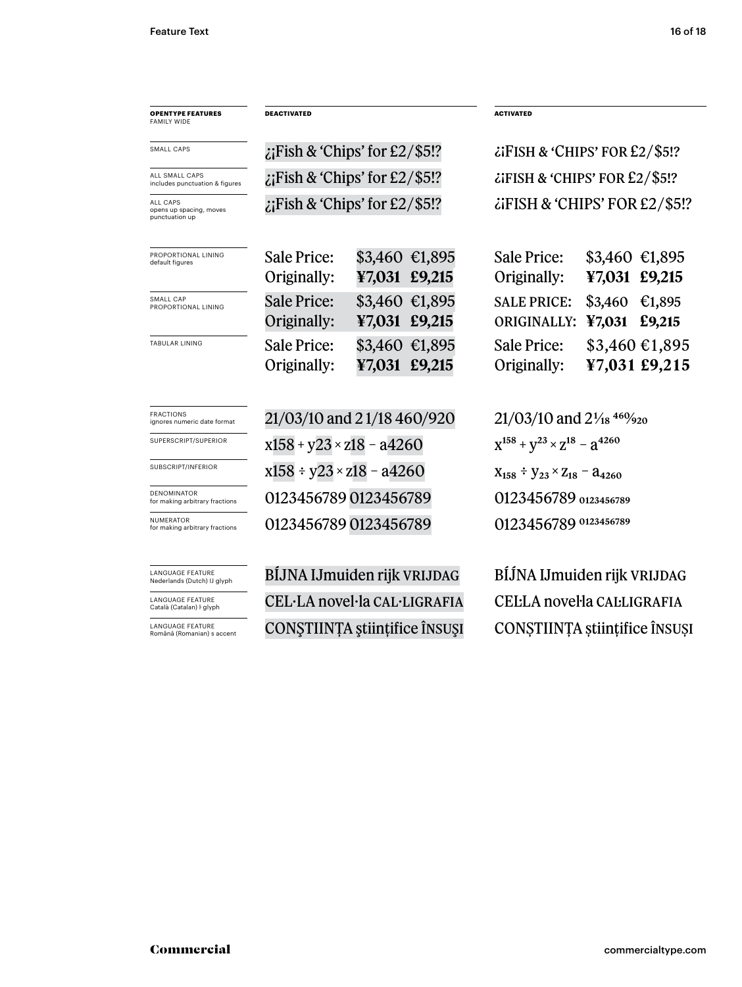| <b>OPENTYPE FEATURES</b><br><b>FAMILY WIDE</b>         | <b>DEACTIVATED</b>                 |               |                 | <b>ACTIVATED</b>                                  |                   |                                 |  |
|--------------------------------------------------------|------------------------------------|---------------|-----------------|---------------------------------------------------|-------------------|---------------------------------|--|
| <b>SMALL CAPS</b>                                      | $\chi$ Fish & 'Chips' for £2/\$5!? |               |                 | $\lambda$ FISH & 'CHIPS' FOR £2/\$5!?             |                   |                                 |  |
| ALL SMALL CAPS<br>includes punctuation & figures       | $\chi$ Fish & 'Chips' for £2/\$5!? |               |                 | $\lambda$ FISH & 'CHIPS' FOR £2/\$5!?             |                   |                                 |  |
| ALL CAPS<br>opens up spacing, moves<br>punctuation up  | $\chi$ Fish & 'Chips' for £2/\$5!? |               |                 | $\lambda$ if ISH & 'CHIPS' FOR £2/\$5!?           |                   |                                 |  |
| PROPORTIONAL LINING<br>default figures                 | Sale Price:<br>Originally:         | ¥7,031 £9,215 | $$3,460$ €1,895 | Sale Price:<br>Originally:                        | ¥7,031 £9,215     | $$3,460$ €1,895                 |  |
| SMALL CAP<br>PROPORTIONAL LINING                       | <b>Sale Price:</b><br>Originally:  | ¥7,031 £9,215 | $$3,460$ €1,895 | <b>SALE PRICE:</b><br>ORIGINALLY:                 | \$3,460<br>¥7,031 | €1,895<br>£9,215                |  |
| <b>TABULAR LINING</b>                                  | Sale Price:<br>Originally:         | ¥7,031 £9,215 | $$3,460$ €1,895 | Sale Price:<br>Originally:                        |                   | \$3,460 €1,895<br>¥7,031 £9,215 |  |
| <b>FRACTIONS</b><br>ignores numeric date format        | 21/03/10 and 21/18 460/920         |               |                 | $21/03/10$ and $2\frac{1}{18}$ 46% $\frac{9}{20}$ |                   |                                 |  |
| SUPERSCRIPT/SUPERIOR                                   | $x158 + y23 \times z18 - a4260$    |               |                 | $X^{158} + Y^{23} \times Z^{18} - Z^{4260}$       |                   |                                 |  |
| SUBSCRIPT/INFERIOR                                     | $x158 \div y23 \times z18 - a4260$ |               |                 | $X_{158} \div Y_{23} \times Z_{18} - 24_{4260}$   |                   |                                 |  |
| <b>DENOMINATOR</b><br>for making arbitrary fractions   | 0123456789 0123456789              |               |                 | 0123456789 0123456789                             |                   |                                 |  |
| <b>NUMERATOR</b><br>for making arbitrary fractions     | 0123456789 0123456789              |               |                 | 0123456789 0123456789                             |                   |                                 |  |
| <b>LANGUAGE FEATURE</b><br>Nederlands (Dutch) IJ glyph | BÍJNA IJmuiden rijk VRIJDAG        |               |                 | BÍJNA IJmuiden rijk VRIJDAG                       |                   |                                 |  |
| <b>LANGUAGE FEATURE</b><br>Català (Catalan) ŀ glyph    | CEL·LA novel·la CAL·LIGRAFIA       |               |                 | CELLA novella CALLIGRAFIA                         |                   |                                 |  |

LANGUAGE FEATURE

CONŞTIINȚA ştiințifice însuşi CONȘTIINȚA științifice însuși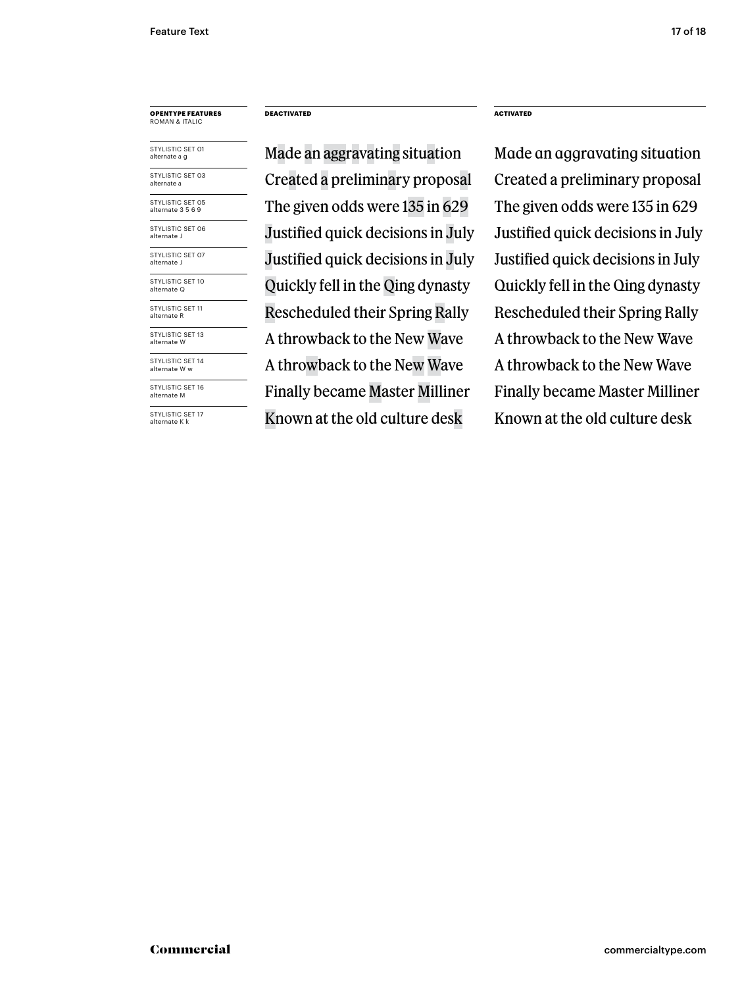STYLISTIC SET 05 alternate 3 5 6 9 STYLISTIC SET 01 alternate a g STYLISTIC SET 03 alternate a STYLISTIC SFT 06 alternate J STYLISTIC SET 07 alternate J STYLISTIC SET 10 alternate Q STYLISTIC SET 11 alternate R STYLISTIC SET 13 alternate W STYLISTIC SET 14 alternate W w STYLISTIC SET 16 alternate M

STYLISTIC SET 17 alternate K k

**DEACTIVATED ACTIVATED**

Made an aggravating situation Made an aggravating situation Created a preliminary proposal Created a preliminary proposal The given odds were 135 in 629 The given odds were 135 in 629 Justified quick decisions in July Justified quick decisions in July Justified quick decisions in July Quickly fell in the Qing dynasty Quickly fell in the Qing dynasty Rescheduled their Spring Rally Rescheduled their Spring Rally A throwback to the New Wave A throwback to the New Wave A throwback to the New Wave Finally became Master Milliner Finally became Master Milliner Known at the old culture desk Known at the old culture desk

Justified quick decisions in July A throwback to the New Wave